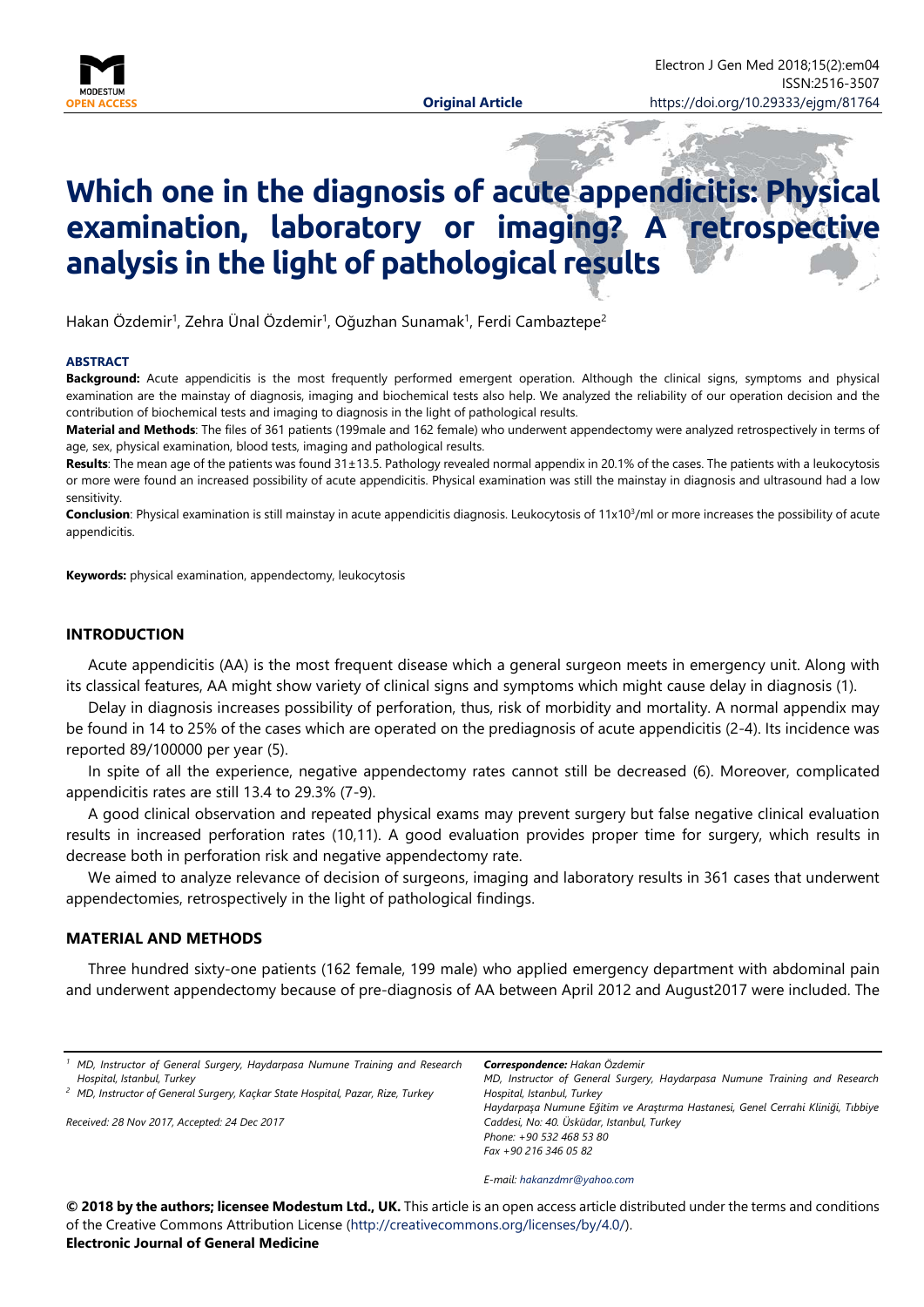

# **Which one in the diagnosis of acute appendicitis: Physical examination, laboratory or imaging? A retrospective analysis in the light of pathological results**

Hakan Özdemir<sup>1</sup>, Zehra Ünal Özdemir<sup>1</sup>, Oğuzhan Sunamak<sup>1</sup>, Ferdi Cambaztepe<sup>2</sup>

#### **ABSTRACT**

**Background:** Acute appendicitis is the most frequently performed emergent operation. Although the clinical signs, symptoms and physical examination are the mainstay of diagnosis, imaging and biochemical tests also help. We analyzed the reliability of our operation decision and the contribution of biochemical tests and imaging to diagnosis in the light of pathological results.

**Material and Methods**: The files of 361 patients (199male and 162 female) who underwent appendectomy were analyzed retrospectively in terms of age, sex, physical examination, blood tests, imaging and pathological results.

**Results**: The mean age of the patients was found 31±13.5. Pathology revealed normal appendix in 20.1% of the cases. The patients with a leukocytosis or more were found an increased possibility of acute appendicitis. Physical examination was still the mainstay in diagnosis and ultrasound had a low sensitivity.

**Conclusion**: Physical examination is still mainstay in acute appendicitis diagnosis. Leukocytosis of 11x10<sup>3</sup>/ml or more increases the possibility of acute appendicitis.

**Keywords:** physical examination, appendectomy, leukocytosis

## **INTRODUCTION**

Acute appendicitis (AA) is the most frequent disease which a general surgeon meets in emergency unit. Along with its classical features, AA might show variety of clinical signs and symptoms which might cause delay in diagnosis (1).

Delay in diagnosis increases possibility of perforation, thus, risk of morbidity and mortality. A normal appendix may be found in 14 to 25% of the cases which are operated on the prediagnosis of acute appendicitis (2-4). Its incidence was reported 89/100000 per year (5).

In spite of all the experience, negative appendectomy rates cannot still be decreased (6). Moreover, complicated appendicitis rates are still 13.4 to 29.3% (7-9).

A good clinical observation and repeated physical exams may prevent surgery but false negative clinical evaluation results in increased perforation rates (10,11). A good evaluation provides proper time for surgery, which results in decrease both in perforation risk and negative appendectomy rate.

We aimed to analyze relevance of decision of surgeons, imaging and laboratory results in 361 cases that underwent appendectomies, retrospectively in the light of pathological findings.

## **MATERIAL AND METHODS**

Three hundred sixty-one patients (162 female, 199 male) who applied emergency department with abdominal pain and underwent appendectomy because of pre-diagnosis of AA between April 2012 and August2017 were included. The

| <sup>1</sup> MD, Instructor of General Surgery, Haydarpasa Numune Training and Research |  |  |  |  |
|-----------------------------------------------------------------------------------------|--|--|--|--|
| Hospital, Istanbul, Turkey                                                              |  |  |  |  |
|                                                                                         |  |  |  |  |

*<sup>2</sup> MD, Instructor of General Surgery, Kaçkar State Hospital, Pazar, Rize, Turkey*

*Received: 28 Nov 2017, Accepted: 24 Dec 2017*

*MD, Instructor of General Surgery, Haydarpasa Numune Training and Research Hospital, Istanbul, Turkey Haydarpaşa Numune Eğitim ve Araştırma Hastanesi, Genel Cerrahi Kliniği, Tıbbiye Caddesi, No: 40. Üsküdar, Istanbul, Turkey Phone: +90 532 468 53 80 Fax +90 216 346 05 82*

*E-mail: [hakanzdmr@yahoo.com](mailto:hakanzdmr@yahoo.com)*

*Correspondence: Hakan Özdemir*

**© 2018 by the authors; licensee Modestum Ltd., UK.** This article is an open access article distributed under the terms and conditions of the Creative Commons Attribution License [\(http://creativecommons.org/licenses/by/4.0/\)](http://creativecommons.org/licenses/by/4.0/). **Electronic Journal of General Medicine**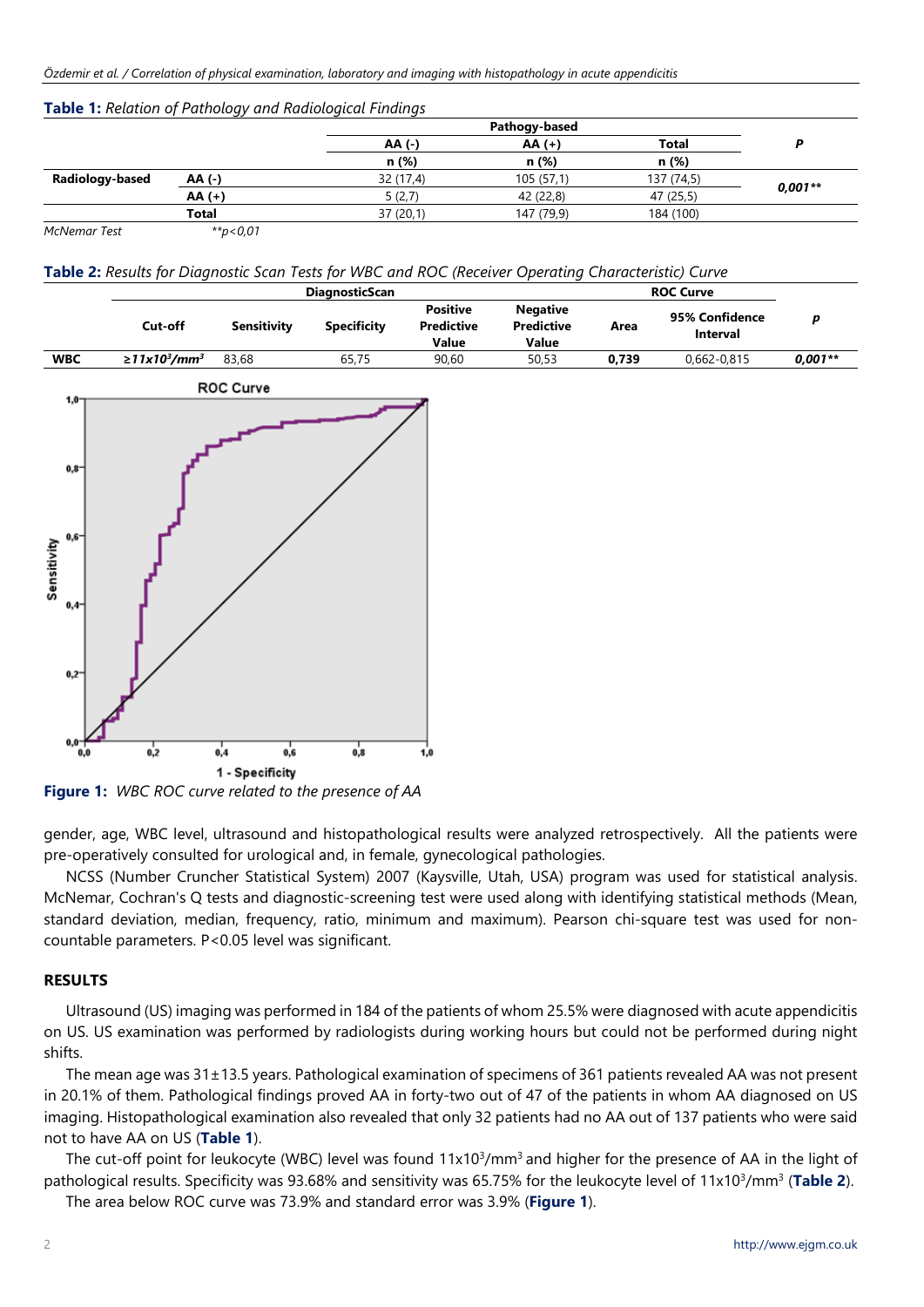|                 | <b>Table 1.</b> Relation of Fathology and Radiological Finalnys |           |                           |            |           |
|-----------------|-----------------------------------------------------------------|-----------|---------------------------|------------|-----------|
|                 |                                                                 | AA (-)    | Pathogy-based<br>$AA (+)$ | Total      |           |
|                 |                                                                 | n (%)     | n (%)                     | n (%)      |           |
| Radiology-based | AA (-)                                                          | 32 (17,4) | 105(57,1)                 | 137 (74,5) |           |
|                 | $AA (+)$                                                        | 5(2,7)    | 42 (22,8)                 | 47 (25,5)  | $0,001**$ |
|                 | <b>Total</b>                                                    | 37(20,1)  | 147 (79,9)                | 184 (100)  |           |
| McNemar Test    | **p<0,01                                                        |           |                           |            |           |

#### **Table 1:** *Relation of Pathology and Radiological Findings*

**Table 2:** *Results for Diagnostic Scan Tests for WBC and ROC (Receiver Operating Characteristic) Curve*

|                                                                                                        | <b>DiagnosticScan</b>                      |                                                       |                    |                                               |                                               | <b>ROC Curve</b> |                            |           |
|--------------------------------------------------------------------------------------------------------|--------------------------------------------|-------------------------------------------------------|--------------------|-----------------------------------------------|-----------------------------------------------|------------------|----------------------------|-----------|
|                                                                                                        | Cut-off                                    | <b>Sensitivity</b>                                    | <b>Specificity</b> | <b>Positive</b><br><b>Predictive</b><br>Value | <b>Negative</b><br><b>Predictive</b><br>Value | Area             | 95% Confidence<br>Interval | $\pmb{p}$ |
| <b>WBC</b>                                                                                             | $\geq$ 11x10 <sup>3</sup> /mm <sup>3</sup> | 83,68                                                 | 65,75              | 90,60                                         | 50,53                                         | 0,739            | 0,662-0,815                | $0,001**$ |
|                                                                                                        |                                            | ROC Curve                                             |                    |                                               |                                               |                  |                            |           |
| $1,0-$<br>$0,8$ <sup>-</sup><br>Sensitivity<br>sensitivity<br>$0,4-$<br>0,2<br>$0,0$ $\rightarrow 0,0$ | 0,2                                        | $\frac{1}{0,4}$<br>$\frac{1}{0,6}$<br>1 - Specificity | 0,8                | 1,0                                           |                                               |                  |                            |           |

**Figure 1:** *WBC ROC curve related to the presence of AA*

gender, age, WBC level, ultrasound and histopathological results were analyzed retrospectively. All the patients were pre-operatively consulted for urological and, in female, gynecological pathologies.

NCSS (Number Cruncher Statistical System) 2007 (Kaysville, Utah, USA) program was used for statistical analysis. McNemar, Cochran's Q tests and diagnostic-screening test were used along with identifying statistical methods (Mean, standard deviation, median, frequency, ratio, minimum and maximum). Pearson chi-square test was used for noncountable parameters. P<0.05 level was significant.

# **RESULTS**

Ultrasound (US) imaging was performed in 184 of the patients of whom 25.5% were diagnosed with acute appendicitis on US. US examination was performed by radiologists during working hours but could not be performed during night shifts.

The mean age was 31±13.5 years. Pathological examination of specimens of 361 patients revealed AA was not present in 20.1% of them. Pathological findings proved AA in forty-two out of 47 of the patients in whom AA diagnosed on US imaging. Histopathological examination also revealed that only 32 patients had no AA out of 137 patients who were said not to have AA on US (**Table 1**).

The cut-off point for leukocyte (WBC) level was found 11x10<sup>3</sup>/mm<sup>3</sup> and higher for the presence of AA in the light of pathological results. Specificity was 93.68% and sensitivity was 65.75% for the leukocyte level of 11x10<sup>3</sup>/mm<sup>3</sup> (Table 2).

The area below ROC curve was 73.9% and standard error was 3.9% (**Figure 1**).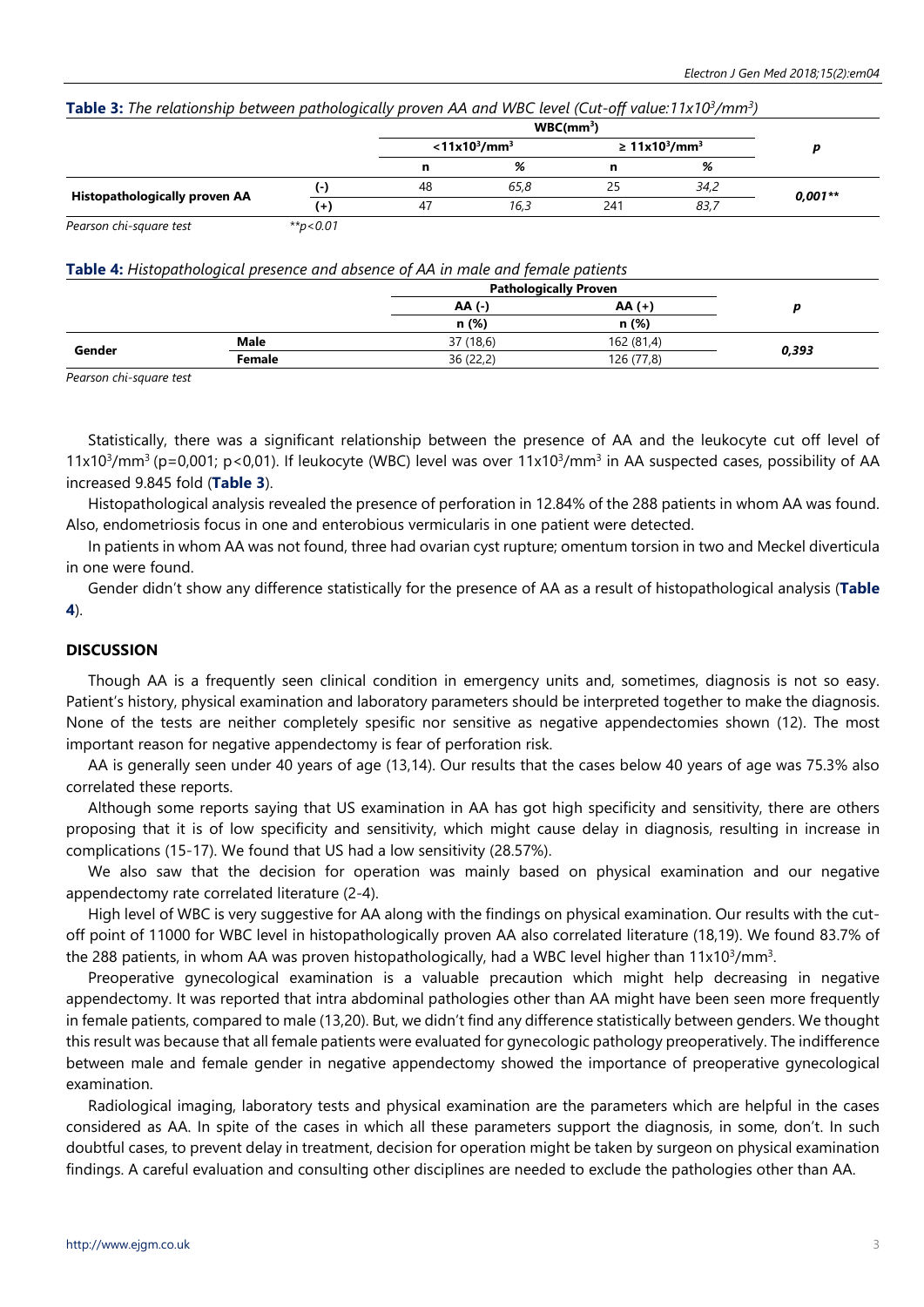| Table 3: The relationship between pathologically proven AA and WBC level (Cut-off value:11x10 <sup>3</sup> /mm <sup>3</sup> ) |  |
|-------------------------------------------------------------------------------------------------------------------------------|--|
|-------------------------------------------------------------------------------------------------------------------------------|--|

|                               |              | $<$ 11x10 <sup>3</sup> /mm <sup>3</sup> |      | $\geq 11x10^3/mm^3$ |      |           |
|-------------------------------|--------------|-----------------------------------------|------|---------------------|------|-----------|
|                               |              | n                                       | %    | n                   | %    |           |
|                               | ( – )        | 48                                      | 65,8 | 25                  | 34,2 |           |
| Histopathologically proven AA | $^{+}$       | 47                                      | 16,3 | 241                 | 83,7 | $0,001**$ |
| Dograph chi caugra tort       | $***$ $0.01$ |                                         |      |                     |      |           |

*Pearson chi-square test \*\*p<0.01*

## **Table 4:** *Histopathological presence and absence of AA in male and female patients*

|        |             |           | <b>Pathologically Proven</b> |       |  |
|--------|-------------|-----------|------------------------------|-------|--|
|        |             | AA (-)    | $AA (+)$                     |       |  |
|        |             | n (%)     | n (%)                        |       |  |
|        | <b>Male</b> | 37 (18,6) | 162 (81,4)                   |       |  |
| Gender | Female      | 36 (22,2) | 126 (77,8)                   | 0,393 |  |

*Pearson chi-square test*

Statistically, there was a significant relationship between the presence of AA and the leukocyte cut off level of 11x10<sup>3</sup>/mm<sup>3</sup> (p=0,001; p<0,01). If leukocyte (WBC) level was over 11x10<sup>3</sup>/mm<sup>3</sup> in AA suspected cases, possibility of AA increased 9.845 fold (**Table 3**).

Histopathological analysis revealed the presence of perforation in 12.84% of the 288 patients in whom AA was found. Also, endometriosis focus in one and enterobious vermicularis in one patient were detected.

In patients in whom AA was not found, three had ovarian cyst rupture; omentum torsion in two and Meckel diverticula in one were found.

Gender didn't show any difference statistically for the presence of AA as a result of histopathological analysis (**Table 4**).

## **DISCUSSION**

Though AA is a frequently seen clinical condition in emergency units and, sometimes, diagnosis is not so easy. Patient's history, physical examination and laboratory parameters should be interpreted together to make the diagnosis. None of the tests are neither completely spesific nor sensitive as negative appendectomies shown (12). The most important reason for negative appendectomy is fear of perforation risk.

AA is generally seen under 40 years of age (13,14). Our results that the cases below 40 years of age was 75.3% also correlated these reports.

Although some reports saying that US examination in AA has got high specificity and sensitivity, there are others proposing that it is of low specificity and sensitivity, which might cause delay in diagnosis, resulting in increase in complications (15-17). We found that US had a low sensitivity (28.57%).

We also saw that the decision for operation was mainly based on physical examination and our negative appendectomy rate correlated literature (2-4).

High level of WBC is very suggestive for AA along with the findings on physical examination. Our results with the cutoff point of 11000 for WBC level in histopathologically proven AA also correlated literature (18,19). We found 83.7% of the 288 patients, in whom AA was proven histopathologically, had a WBC level higher than 11x10<sup>3</sup>/mm<sup>3</sup>.

Preoperative gynecological examination is a valuable precaution which might help decreasing in negative appendectomy. It was reported that intra abdominal pathologies other than AA might have been seen more frequently in female patients, compared to male (13,20). But, we didn't find any difference statistically between genders. We thought this result was because that all female patients were evaluated for gynecologic pathology preoperatively. The indifference between male and female gender in negative appendectomy showed the importance of preoperative gynecological examination.

Radiological imaging, laboratory tests and physical examination are the parameters which are helpful in the cases considered as AA. In spite of the cases in which all these parameters support the diagnosis, in some, don't. In such doubtful cases, to prevent delay in treatment, decision for operation might be taken by surgeon on physical examination findings. A careful evaluation and consulting other disciplines are needed to exclude the pathologies other than AA.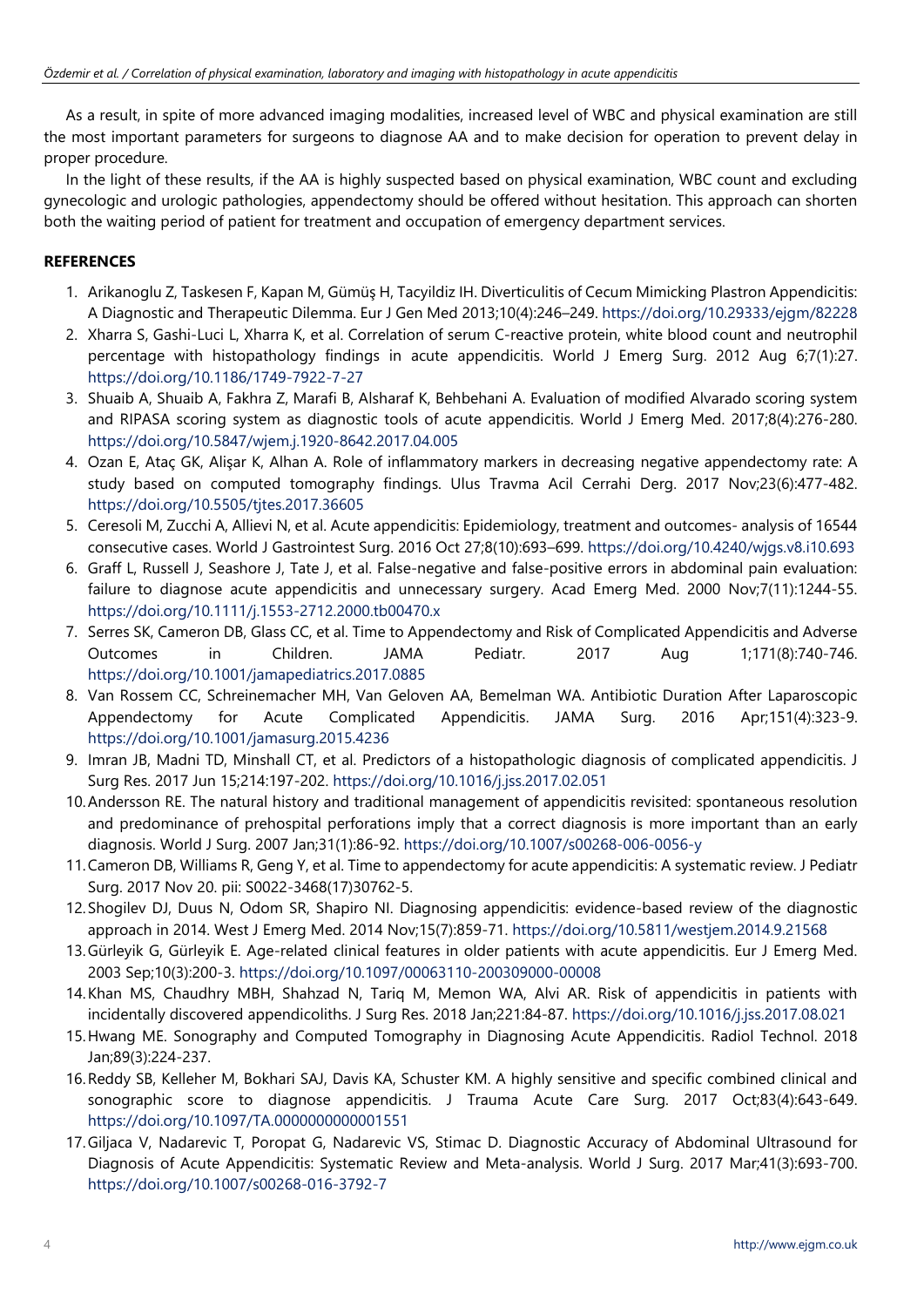As a result, in spite of more advanced imaging modalities, increased level of WBC and physical examination are still the most important parameters for surgeons to diagnose AA and to make decision for operation to prevent delay in proper procedure.

In the light of these results, if the AA is highly suspected based on physical examination, WBC count and excluding gynecologic and urologic pathologies, appendectomy should be offered without hesitation. This approach can shorten both the waiting period of patient for treatment and occupation of emergency department services.

# **REFERENCES**

- 1. Arikanoglu Z, Taskesen F, Kapan M, Gümüş H, Tacyildiz IH. Diverticulitis of Cecum Mimicking Plastron Appendicitis: A Diagnostic and Therapeutic Dilemma. Eur J Gen Med 2013;10(4):246–249. <https://doi.org/10.29333/ejgm/82228>
- 2. Xharra S, Gashi-Luci L, Xharra K, et al. Correlation of serum C-reactive protein, white blood count and neutrophil percentage with histopathology findings in acute appendicitis. World J Emerg Surg. 2012 Aug 6;7(1):27. <https://doi.org/10.1186/1749-7922-7-27>
- 3. Shuaib A, Shuaib A, Fakhra Z, Marafi B, Alsharaf K, Behbehani A. Evaluation of modified Alvarado scoring system and RIPASA scoring system as diagnostic tools of acute appendicitis. World J Emerg Med. 2017;8(4):276-280. <https://doi.org/10.5847/wjem.j.1920-8642.2017.04.005>
- 4. Ozan E, Ataç GK, Alişar K, Alhan A. Role of inflammatory markers in decreasing negative appendectomy rate: A study based on computed tomography findings. Ulus Travma Acil Cerrahi Derg. 2017 Nov;23(6):477-482. <https://doi.org/10.5505/tjtes.2017.36605>
- 5. Ceresoli M, Zucchi A, Allievi N, et al. Acute appendicitis: Epidemiology, treatment and outcomes- analysis of 16544 consecutive cases. World J Gastrointest Surg. 2016 Oct 27;8(10):693–699. <https://doi.org/10.4240/wjgs.v8.i10.693>
- 6. Graff L, Russell J, Seashore J, Tate J, et al. False-negative and false-positive errors in abdominal pain evaluation: failure to diagnose acute appendicitis and unnecessary surgery. Acad Emerg Med. 2000 Nov;7(11):1244-55. <https://doi.org/10.1111/j.1553-2712.2000.tb00470.x>
- 7. Serres SK, Cameron DB, Glass CC, et al. Time to Appendectomy and Risk of Complicated Appendicitis and Adverse Outcomes in Children. JAMA Pediatr. 2017 Aug 1;171(8):740-746. <https://doi.org/10.1001/jamapediatrics.2017.0885>
- 8. Van Rossem CC, Schreinemacher MH, Van Geloven AA, Bemelman WA. Antibiotic Duration After Laparoscopic Appendectomy for Acute Complicated Appendicitis. JAMA Surg. 2016 Apr;151(4):323-9. <https://doi.org/10.1001/jamasurg.2015.4236>
- 9. Imran JB, Madni TD, Minshall CT, et al. Predictors of a histopathologic diagnosis of complicated appendicitis. J Surg Res. 2017 Jun 15;214:197-202. <https://doi.org/10.1016/j.jss.2017.02.051>
- 10.Andersson RE. The natural history and traditional management of appendicitis revisited: spontaneous resolution and predominance of prehospital perforations imply that a correct diagnosis is more important than an early diagnosis. World J Surg. 2007 Jan;31(1):86-92. <https://doi.org/10.1007/s00268-006-0056-y>
- 11.Cameron DB, Williams R, Geng Y, et al. Time to appendectomy for acute appendicitis: A systematic review. J Pediatr Surg. 2017 Nov 20. pii: S0022-3468(17)30762-5.
- 12.Shogilev DJ, Duus N, Odom SR, Shapiro NI. Diagnosing appendicitis: evidence-based review of the diagnostic approach in 2014. West J Emerg Med. 2014 Nov;15(7):859-71. <https://doi.org/10.5811/westjem.2014.9.21568>
- 13.Gürleyik G, Gürleyik E. Age-related clinical features in older patients with acute appendicitis. Eur J Emerg Med. 2003 Sep;10(3):200-3. <https://doi.org/10.1097/00063110-200309000-00008>
- 14.Khan MS, Chaudhry MBH, Shahzad N, Tariq M, Memon WA, Alvi AR. Risk of appendicitis in patients with incidentally discovered appendicoliths. J Surg Res. 2018 Jan;221:84-87. <https://doi.org/10.1016/j.jss.2017.08.021>
- 15.Hwang ME. Sonography and Computed Tomography in Diagnosing Acute Appendicitis. Radiol Technol. 2018 Jan;89(3):224-237.
- 16.Reddy SB, Kelleher M, Bokhari SAJ, Davis KA, Schuster KM. A highly sensitive and specific combined clinical and sonographic score to diagnose appendicitis. J Trauma Acute Care Surg. 2017 Oct;83(4):643-649. <https://doi.org/10.1097/TA.0000000000001551>
- 17.Giljaca V, Nadarevic T, Poropat G, Nadarevic VS, Stimac D. Diagnostic Accuracy of Abdominal Ultrasound for Diagnosis of Acute Appendicitis: Systematic Review and Meta-analysis. World J Surg. 2017 Mar;41(3):693-700. <https://doi.org/10.1007/s00268-016-3792-7>